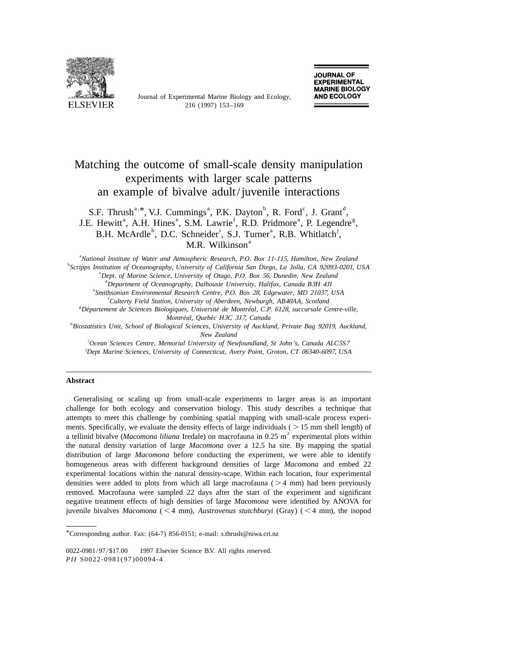

Journal of Experimental Marine Biology and Ecology,

# Matching the outcome of small-scale density manipulation experiments with larger scale patterns an example of bivalve adult/juvenile interactions

S.F. Thrush<sup>a, \*</sup>, V.J. Cummings<sup>a</sup>, P.K. Dayton<sup>b</sup>, R. Ford<sup>c</sup>, J. Grant<sup>d</sup>, J.E. Hewitt<sup>a</sup>, A.H. Hines<sup>e</sup>, S.M. Lawrie<sup>f</sup>, R.D. Pridmore<sup>a</sup>, P. Legendre<sup>g</sup>. B.H. McArdle<sup>h</sup>, D.C. Schneider<sup>i</sup>, S.J. Turner<sup>a</sup>, R.B. Whitlatch<sup>j</sup>, M.R. Wilkinson<sup>a</sup>

a *National Institute of Water and Atmospheric Research*, *P*.*O*. *Box* <sup>11</sup>-115, *Hamilton*, *New Zealand*

b *Scripps Institution of Oceanography*, *University of California San Diego*, *La Jolla*, *CA* <sup>92093</sup>-0201, *USA*

c *Dept*. *of Marine Science*, *University of Otago*, *P*.*O*. *Box* 56, *Dunedin*, *New Zealand*

d *Department of Oceanography*, *Dalhousie University*, *Halifax*, *Canada B*3*H* <sup>4</sup>*JI*

e *Smithsonian Environmental Research Centre*, *P*.*O*. *Box* 28, *Edgewater*, *MD* 21037, *USA*

f *Culterty Field Station*, *University of Aberdeen*, *Newburgh*, *AB*40*AA*, *Scotland*

g *Departement de Sciences Biologiques ´ ´´* , *Universite de Montreal*, *C*.*P*. 6128, *succursale Centre*-*ville*, *Montreal ´ ´* , *Quebec H*3*C* <sup>3</sup>*J*7, *Canada*

h *Biostatistics Unit*, *School of Biological Sciences*, *University of Auckland*, *Private Bag* 92019, *Auckland*, *New Zealand*

i *Ocean Sciences Centre*, *Memorial University of Newfoundland*, *St John*'*s*, *Canada ALC*5*S*<sup>7</sup> j *Dept Marine Sciences*, *University of Connecticut*, *Avery Point*, *Groton*, *CT* <sup>06340</sup>-6097, *USA*

#### **Abstract**

Generalising or scaling up from small-scale experiments to larger areas is an important challenge for both ecology and conservation biology. This study describes a technique that attempts to meet this challenge by combining spatial mapping with small-scale process experiments. Specifically, we evaluate the density effects of large individuals ( $> 15$  mm shell length) of a tellinid bivalve (*Macomona liliana* Iredale) on macrofauna in 0.25 m<sup>2</sup> experimental plots within the natural density variation of large *Macomona* over a 12.5 ha site. By mapping the spatial distribution of large *Macomona* before conducting the experiment, we were able to identify homogeneous areas with different background densities of large *Macomona* and embed 22 experimental locations within the natural density-scape. Within each location, four experimental densities were added to plots from which all large macrofauna ( $>4$  mm) had been previously removed. Macrofauna were sampled 22 days after the start of the experiment and significant negative treatment effects of high densities of large *Macomona* were identified by ANOVA for juvenile bivalves *Macomona* ( $\leq 4$  mm), *Austrovenus stutchburyi* (Gray) ( $\leq 4$  mm), the isopod

<sup>\*</sup>Corresponding author. Fax: (64-7) 856-0151; e-mail: s.thrush@niwa.cri.nz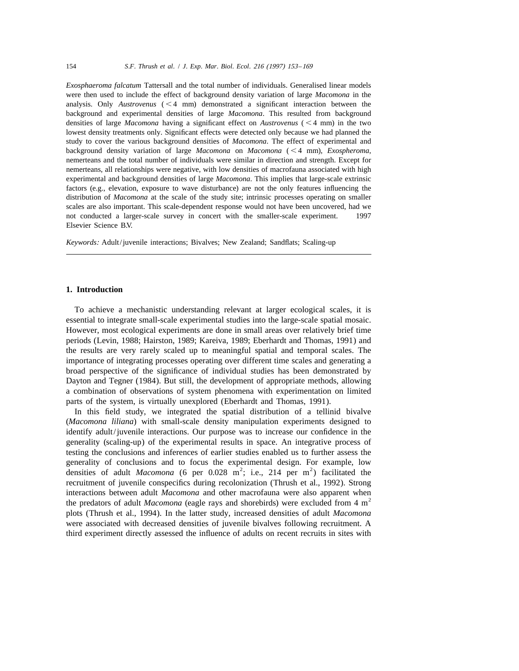*Exosphaeroma falcatum* Tattersall and the total number of individuals. Generalised linear models were then used to include the effect of background density variation of large *Macomona* in the analysis. Only  $A$ *ustrovenus*  $(< 4$  mm) demonstrated a significant interaction between the background and experimental densities of large *Macomona*. This resulted from background densities of large *Macomona* having a significant effect on *Austrovenus* ( $\lt 4$  mm) in the two lowest density treatments only. Significant effects were detected only because we had planned the study to cover the various background densities of *Macomona*. The effect of experimental and background density variation of large *Macomona* on *Macomona* (<4 mm), *Exospheroma*, nemerteans and the total number of individuals were similar in direction and strength. Except for nemerteans, all relationships were negative, with low densities of macrofauna associated with high experimental and background densities of large *Macomona*. This implies that large-scale extrinsic factors (e.g., elevation, exposure to wave disturbance) are not the only features influencing the distribution of *Macomona* at the scale of the study site; intrinsic processes operating on smaller scales are also important. This scale-dependent response would not have been uncovered, had we not conducted a larger-scale survey in concert with the smaller-scale experiment.  $\oslash$  1997 Elsevier Science B.V.

*Keywords*: Adult/juvenile interactions; Bivalves; New Zealand; Sandflats; Scaling-up

#### **1. Introduction**

To achieve a mechanistic understanding relevant at larger ecological scales, it is essential to integrate small-scale experimental studies into the large-scale spatial mosaic. However, most ecological experiments are done in small areas over relatively brief time periods (Levin, 1988; Hairston, 1989; Kareiva, 1989; Eberhardt and Thomas, 1991) and the results are very rarely scaled up to meaningful spatial and temporal scales. The importance of integrating processes operating over different time scales and generating a broad perspective of the significance of individual studies has been demonstrated by Dayton and Tegner (1984). But still, the development of appropriate methods, allowing a combination of observations of system phenomena with experimentation on limited parts of the system, is virtually unexplored (Eberhardt and Thomas, 1991).

In this field study, we integrated the spatial distribution of a tellinid bivalve (*Macomona liliana*) with small-scale density manipulation experiments designed to identify adult/juvenile interactions. Our purpose was to increase our confidence in the generality (scaling-up) of the experimental results in space. An integrative process of testing the conclusions and inferences of earlier studies enabled us to further assess the generality of conclusions and to focus the experimental design. For example, low densities of adult *Macomona* (6 per 0.028 m<sup>2</sup>; i.e., 214 per m<sup>2</sup>) facilitated the recruitment of juvenile conspecifics during recolonization (Thrush et al., 1992). Strong interactions between adult *Macomona* and other macrofauna were also apparent when<br>the predators of adult *Macomona* (eagle rays and shorebirds) were excluded from 4 m<sup>2</sup> plots (Thrush et al., 1994). In the latter study, increased densities of adult *Macomona* were associated with decreased densities of juvenile bivalves following recruitment. A third experiment directly assessed the influence of adults on recent recruits in sites with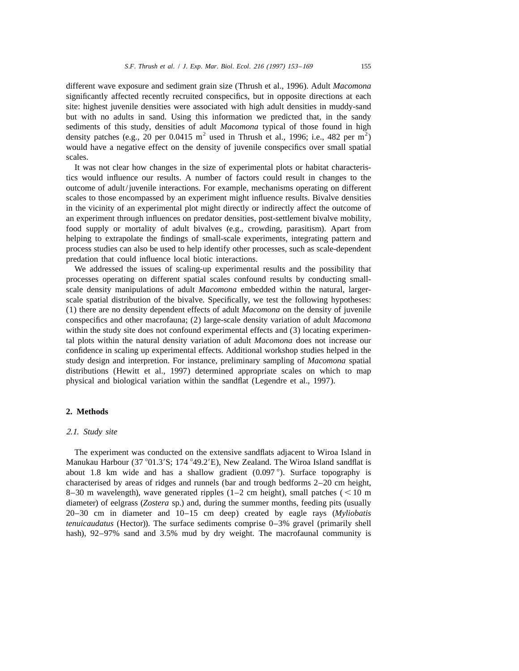different wave exposure and sediment grain size (Thrush et al., 1996). Adult *Macomona* significantly affected recently recruited conspecifics, but in opposite directions at each site: highest juvenile densities were associated with high adult densities in muddy-sand but with no adults in sand. Using this information we predicted that, in the sandy sediments of this study, densities of adult *Macomona* typical of those found in high density patches (e.g., 20 per 0.0415 m<sup>2</sup> used in Thrush et al., 1996; i.e., 482 per m<sup>2</sup>) would have a negative effect on the density of juvenile conspecifics over small spatial scales.

It was not clear how changes in the size of experimental plots or habitat characteristics would influence our results. A number of factors could result in changes to the outcome of adult/juvenile interactions. For example, mechanisms operating on different scales to those encompassed by an experiment might influence results. Bivalve densities in the vicinity of an experimental plot might directly or indirectly affect the outcome of an experiment through influences on predator densities, post-settlement bivalve mobility, food supply or mortality of adult bivalves (e.g., crowding, parasitism). Apart from helping to extrapolate the findings of small-scale experiments, integrating pattern and process studies can also be used to help identify other processes, such as scale-dependent predation that could influence local biotic interactions.

We addressed the issues of scaling-up experimental results and the possibility that processes operating on different spatial scales confound results by conducting smallscale density manipulations of adult *Macomona* embedded within the natural, largerscale spatial distribution of the bivalve. Specifically, we test the following hypotheses: (1) there are no density dependent effects of adult *Macomona* on the density of juvenile conspecifics and other macrofauna; (2) large-scale density variation of adult *Macomona* within the study site does not confound experimental effects and (3) locating experimental plots within the natural density variation of adult *Macomona* does not increase our confidence in scaling up experimental effects. Additional workshop studies helped in the study design and interpretion. For instance, preliminary sampling of *Macomona* spatial distributions (Hewitt et al., 1997) determined appropriate scales on which to map physical and biological variation within the sandflat (Legendre et al., 1997).

## **2. Methods**

#### 2.1. *Study site*

The experiment was conducted on the extensive sandflats adjacent to Wiroa Island in Manukau Harbour (37 $\degree$ 01.3'S; 174 $\degree$ 49.2'E), New Zealand. The Wiroa Island sandflat is about 1.8 km wide and has a shallow gradient  $(0.097 \degree)$ . Surface topography is characterised by areas of ridges and runnels (bar and trough bedforms 2–20 cm height, 8-30 m wavelength), wave generated ripples  $(1-2 \text{ cm height})$ , small patches  $(< 10 \text{ m}$ diameter) of eelgrass (*Zostera* sp.) and, during the summer months, feeding pits (usually 20–30 cm in diameter and 10–15 cm deep) created by eagle rays (*Myliobatis tenuicaudatus* (Hector)). The surface sediments comprise 0–3% gravel (primarily shell hash), 92–97% sand and 3.5% mud by dry weight. The macrofaunal community is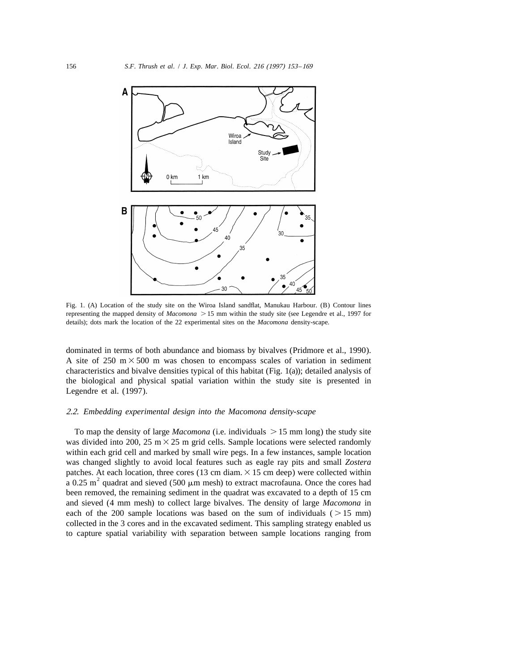

Fig. 1. (A) Location of the study site on the Wiroa Island sandflat, Manukau Harbour. (B) Contour lines representing the mapped density of *Macomona*  $> 15$  mm within the study site (see Legendre et al., 1997 for details); dots mark the location of the 22 experimental sites on the *Macomona* density-scape.

dominated in terms of both abundance and biomass by bivalves (Pridmore et al., 1990). A site of 250 m  $\times$  500 m was chosen to encompass scales of variation in sediment characteristics and bivalve densities typical of this habitat (Fig. 1(a)); detailed analysis of the biological and physical spatial variation within the study site is presented in Legendre et al. (1997).

## 2.2. *Embedding experimental design into the Macomona density*-*scape*

To map the density of large *Macomona* (i.e. individuals  $> 15$  mm long) the study site was divided into 200, 25 m  $\times$  25 m grid cells. Sample locations were selected randomly within each grid cell and marked by small wire pegs. In a few instances, sample location was changed slightly to avoid local features such as eagle ray pits and small *Zostera* patches. At each location, three cores (13 cm diam.  $\times$  15 cm deep) were collected within a 0.25 m<sup>2</sup> quadrat and sieved (500  $\mu$ m mesh) to extract macrofauna. Once the cores had been removed, the remaining sediment in the quadrat was excavated to a depth of 15 cm and sieved (4 mm mesh) to collect large bivalves. The density of large *Macomona* in each of the 200 sample locations was based on the sum of individuals ( $> 15$  mm) collected in the 3 cores and in the excavated sediment. This sampling strategy enabled us to capture spatial variability with separation between sample locations ranging from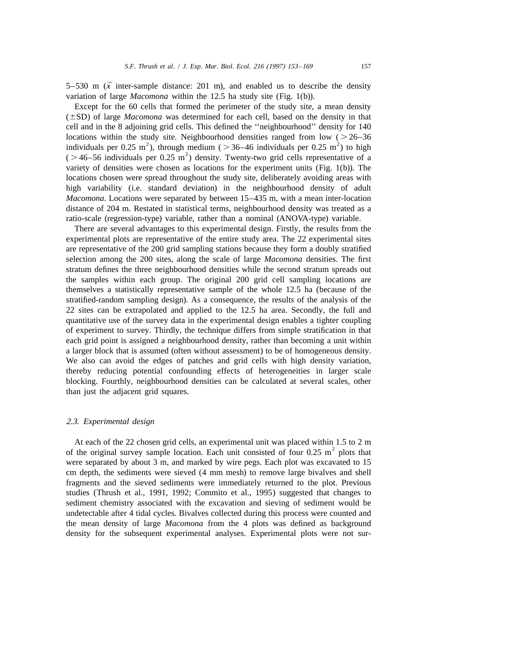5–530 m  $(\bar{x}$  inter-sample distance: 201 m), and enabled us to describe the density variation of large *Macomona* within the 12.5 ha study site (Fig. 1(b)).

Except for the 60 cells that formed the perimeter of the study site, a mean density  $(\pm SD)$  of large *Macomona* was determined for each cell, based on the density in that cell and in the 8 adjoining grid cells. This defined the ''neighbourhood'' density for 140 locations within the study site. Neighbourhood densities ranged from low ( $>26-36$  individuals per 0.25 m<sup>2</sup>), through medium ( $>36-46$  individuals per 0.25 m<sup>2</sup>) to high ( $>46-56$  individuals per 0.25 m<sup>2</sup>) density. Twen variety of densities were chosen as locations for the experiment units (Fig. 1(b)). The locations chosen were spread throughout the study site, deliberately avoiding areas with high variability (i.e. standard deviation) in the neighbourhood density of adult *Macomona*. Locations were separated by between 15–435 m, with a mean inter-location distance of 204 m. Restated in statistical terms, neighbourhood density was treated as a ratio-scale (regression-type) variable, rather than a nominal (ANOVA-type) variable.

There are several advantages to this experimental design. Firstly, the results from the experimental plots are representative of the entire study area. The 22 experimental sites are representative of the 200 grid sampling stations because they form a doubly stratified selection among the 200 sites, along the scale of large *Macomona* densities. The first stratum defines the three neighbourhood densities while the second stratum spreads out the samples within each group. The original 200 grid cell sampling locations are themselves a statistically representative sample of the whole 12.5 ha (because of the stratified-random sampling design). As a consequence, the results of the analysis of the 22 sites can be extrapolated and applied to the 12.5 ha area. Secondly, the full and quantitative use of the survey data in the experimental design enables a tighter coupling of experiment to survey. Thirdly, the technique differs from simple stratification in that each grid point is assigned a neighbourhood density, rather than becoming a unit within a larger block that is assumed (often without assessment) to be of homogeneous density. We also can avoid the edges of patches and grid cells with high density variation, thereby reducing potential confounding effects of heterogeneities in larger scale blocking. Fourthly, neighbourhood densities can be calculated at several scales, other than just the adjacent grid squares.

# 2.3. *Experimental design*

At each of the 22 chosen grid cells, an experimental unit was placed within 1.5 to 2 m of the original survey sample location. Each unit consisted of four 0.25 m<sup>2</sup> plots that were separated by about 3 m, and marked by wire pegs. Each plot was excavated to 15 cm depth, the sediments were sieved (4 mm mesh) to remove large bivalves and shell fragments and the sieved sediments were immediately returned to the plot. Previous studies (Thrush et al., 1991, 1992; Commito et al., 1995) suggested that changes to sediment chemistry associated with the excavation and sieving of sediment would be undetectable after 4 tidal cycles. Bivalves collected during this process were counted and the mean density of large *Macomona* from the 4 plots was defined as background density for the subsequent experimental analyses. Experimental plots were not sur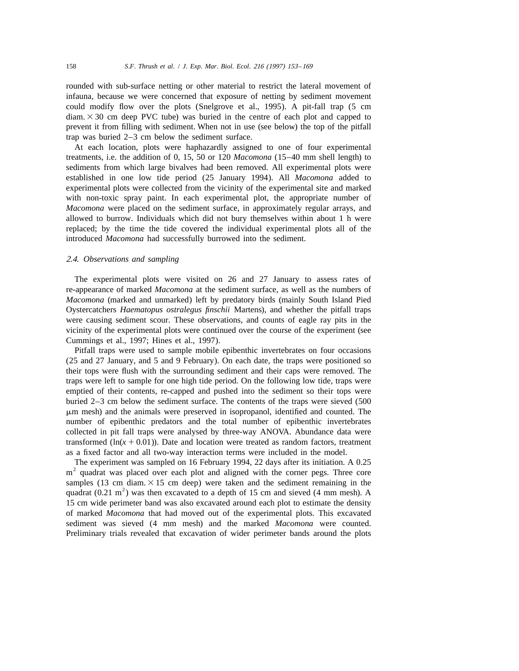rounded with sub-surface netting or other material to restrict the lateral movement of infauna, because we were concerned that exposure of netting by sediment movement could modify flow over the plots (Snelgrove et al., 1995). A pit-fall trap (5 cm  $diam. \times 30$  cm deep PVC tube) was buried in the centre of each plot and capped to prevent it from filling with sediment. When not in use (see below) the top of the pitfall trap was buried 2–3 cm below the sediment surface.

At each location, plots were haphazardly assigned to one of four experimental treatments, i.e. the addition of 0, 15, 50 or 120 *Macomona* (15–40 mm shell length) to sediments from which large bivalves had been removed. All experimental plots were established in one low tide period (25 January 1994). All *Macomona* added to experimental plots were collected from the vicinity of the experimental site and marked with non-toxic spray paint. In each experimental plot, the appropriate number of *Macomona* were placed on the sediment surface, in approximately regular arrays, and allowed to burrow. Individuals which did not bury themselves within about 1 h were replaced; by the time the tide covered the individual experimental plots all of the introduced *Macomona* had successfully burrowed into the sediment.

# 2.4. *Observations and sampling*

The experimental plots were visited on 26 and 27 January to assess rates of re-appearance of marked *Macomona* at the sediment surface, as well as the numbers of *Macomona* (marked and unmarked) left by predatory birds (mainly South Island Pied Oystercatchers *Haematopus ostralegus finschii* Martens), and whether the pitfall traps were causing sediment scour. These observations, and counts of eagle ray pits in the vicinity of the experimental plots were continued over the course of the experiment (see Cummings et al., 1997; Hines et al., 1997).

Pitfall traps were used to sample mobile epibenthic invertebrates on four occasions (25 and 27 January, and 5 and 9 February). On each date, the traps were positioned so their tops were flush with the surrounding sediment and their caps were removed. The traps were left to sample for one high tide period. On the following low tide, traps were emptied of their contents, re-capped and pushed into the sediment so their tops were buried 2–3 cm below the sediment surface. The contents of the traps were sieved (500 mm mesh) and the animals were preserved in isopropanol, identified and counted. The number of epibenthic predators and the total number of epibenthic invertebrates collected in pit fall traps were analysed by three-way ANOVA. Abundance data were transformed ( $ln(x + 0.01)$ ). Date and location were treated as random factors, treatment as a fixed factor and all two-way interaction terms were included in the model.

The experiment was sampled on 16 February 1994, 22 days after its initiation. A 0.25  $m<sup>2</sup>$  quadrat was placed over each plot and aligned with the corner pegs. Three core samples (13 cm diam.  $\times$  15 cm deep) were taken and the sediment remaining in the quadrat (0.21 m<sup>2</sup>) was then excavated to a depth of 15 cm and sieved (4 mm mesh). A 15 cm wide perimeter band was also excavated around each plot to estimate the density of marked *Macomona* that had moved out of the experimental plots. This excavated sediment was sieved (4 mm mesh) and the marked *Macomona* were counted. Preliminary trials revealed that excavation of wider perimeter bands around the plots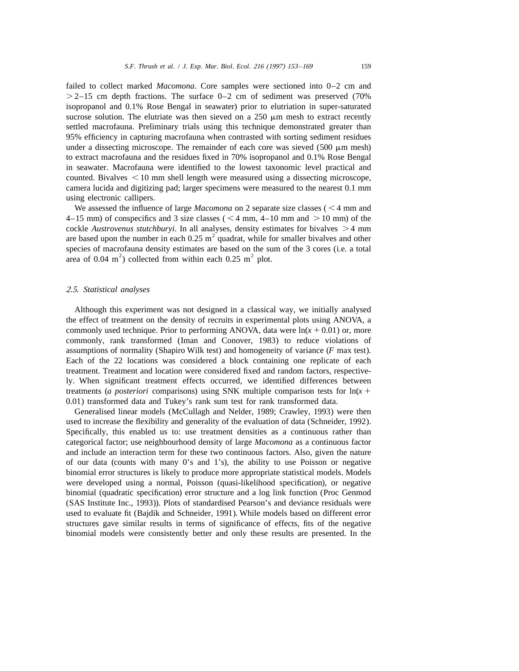failed to collect marked *Macomona*. Core samples were sectioned into 0–2 cm and  $>2-15$  cm depth fractions. The surface 0–2 cm of sediment was preserved (70%) isopropanol and 0.1% Rose Bengal in seawater) prior to elutriation in super-saturated sucrose solution. The elutriate was then sieved on a  $250 \mu m$  mesh to extract recently settled macrofauna. Preliminary trials using this technique demonstrated greater than 95% efficiency in capturing macrofauna when contrasted with sorting sediment residues under a dissecting microscope. The remainder of each core was sieved  $(500 \mu m \text{ mesh})$ to extract macrofauna and the residues fixed in 70% isopropanol and 0.1% Rose Bengal in seawater. Macrofauna were identified to the lowest taxonomic level practical and counted. Bivalves  $\leq 10$  mm shell length were measured using a dissecting microscope, camera lucida and digitizing pad; larger specimens were measured to the nearest 0.1 mm using electronic callipers.

We assessed the influence of large  $Macomona$  on 2 separate size classes ( $\leq 4$  mm and 4–15 mm) of conspecifics and 3 size classes ( $\leq$  4 mm, 4–10 mm and  $>$  10 mm) of the cockle *Austrovenus stutchburyi*. In all analyses, density estimates for bivalves  $>4$  mm are based upon the number in each 0.25 m<sup>2</sup> quadrat, while for smaller bivalves and other species of macrofauna density estimates are based on the sum of the 3 cores (i.e. a total area of 0.04 m<sup>2</sup>) collected from within each 0.25 m<sup>2</sup> plot.

#### 2.5. *Statistical analyses*

Although this experiment was not designed in a classical way, we initially analysed the effect of treatment on the density of recruits in experimental plots using ANOVA, a commonly used technique. Prior to performing ANOVA, data were  $ln(x + 0.01)$  or, more commonly, rank transformed (Iman and Conover, 1983) to reduce violations of assumptions of normality (Shapiro Wilk test) and homogeneity of variance (*F* max test). Each of the 22 locations was considered a block containing one replicate of each treatment. Treatment and location were considered fixed and random factors, respectively. When significant treatment effects occurred, we identified differences between treatments (*a posteriori* comparisons) using SNK multiple comparison tests for  $ln(x +$ 0.01) transformed data and Tukey's rank sum test for rank transformed data.

Generalised linear models (McCullagh and Nelder, 1989; Crawley, 1993) were then used to increase the flexibility and generality of the evaluation of data (Schneider, 1992). Specifically, this enabled us to: use treatment densities as a continuous rather than categorical factor; use neighbourhood density of large *Macomona* as a continuous factor and include an interaction term for these two continuous factors. Also, given the nature of our data (counts with many 0's and 1's), the ability to use Poisson or negative binomial error structures is likely to produce more appropriate statistical models. Models were developed using a normal, Poisson (quasi-likelihood specification), or negative binomial (quadratic specification) error structure and a log link function (Proc Genmod (SAS Institute Inc., 1993)). Plots of standardised Pearson's and deviance residuals were used to evaluate fit (Bajdik and Schneider, 1991). While models based on different error structures gave similar results in terms of significance of effects, fits of the negative binomial models were consistently better and only these results are presented. In the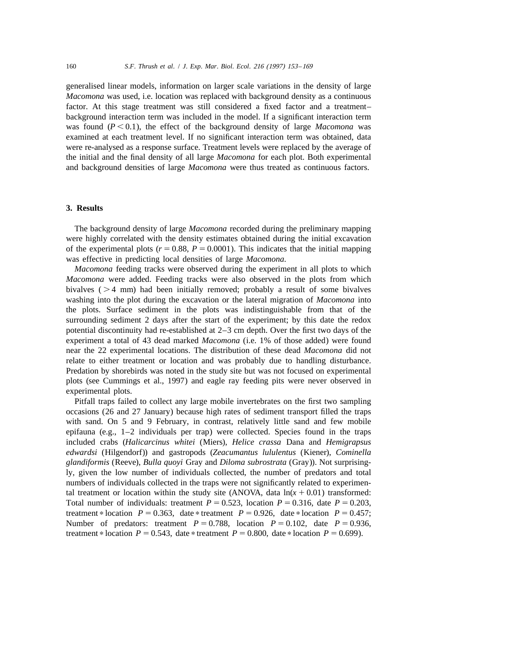generalised linear models, information on larger scale variations in the density of large *Macomona* was used, i.e. location was replaced with background density as a continuous factor. At this stage treatment was still considered a fixed factor and a treatment– background interaction term was included in the model. If a significant interaction term was found  $(P < 0.1)$ , the effect of the background density of large *Macomona* was examined at each treatment level. If no significant interaction term was obtained, data were re-analysed as a response surface. Treatment levels were replaced by the average of the initial and the final density of all large *Macomona* for each plot. Both experimental and background densities of large *Macomona* were thus treated as continuous factors.

#### **3. Results**

The background density of large *Macomona* recorded during the preliminary mapping were highly correlated with the density estimates obtained during the initial excavation of the experimental plots  $(r = 0.88, P = 0.0001)$ . This indicates that the initial mapping was effective in predicting local densities of large *Macomona*.

*Macomona* feeding tracks were observed during the experiment in all plots to which *Macomona* were added. Feeding tracks were also observed in the plots from which bivalves  $( > 4$  mm) had been initially removed; probably a result of some bivalves washing into the plot during the excavation or the lateral migration of *Macomona* into the plots. Surface sediment in the plots was indistinguishable from that of the surrounding sediment 2 days after the start of the experiment; by this date the redox potential discontinuity had re-established at 2–3 cm depth. Over the first two days of the experiment a total of 43 dead marked *Macomona* (i.e. 1% of those added) were found near the 22 experimental locations. The distribution of these dead *Macomona* did not relate to either treatment or location and was probably due to handling disturbance. Predation by shorebirds was noted in the study site but was not focused on experimental plots (see Cummings et al., 1997) and eagle ray feeding pits were never observed in experimental plots.

Pitfall traps failed to collect any large mobile invertebrates on the first two sampling occasions (26 and 27 January) because high rates of sediment transport filled the traps with sand. On 5 and 9 February, in contrast, relatively little sand and few mobile epifauna (e.g., 1–2 individuals per trap) were collected. Species found in the traps included crabs (*Halicarcinus whitei* (Miers), *Helice crassa* Dana and *Hemigrapsus edwardsi* (Hilgendorf)) and gastropods (*Zeacumantus lululentus* (Kiener), *Cominella glandiformis* (Reeve), *Bulla quoyi* Gray and *Diloma subrostrata* (Gray)). Not surprisingly, given the low number of individuals collected, the number of predators and total numbers of individuals collected in the traps were not significantly related to experimental treatment or location within the study site (ANOVA, data  $ln(x + 0.01)$  transformed: Total number of individuals: treatment  $P = 0.523$ , location  $P = 0.316$ , date  $P = 0.203$ , treatment \* location  $P = 0.363$ , date \* treatment  $P = 0.926$ , date \* location  $P = 0.457$ ; Number of predators: treatment  $P = 0.788$ , location  $P = 0.102$ , date  $P = 0.936$ , treatment \* location  $P = 0.543$ , date \* treatment  $P = 0.800$ , date \* location  $P = 0.699$ ).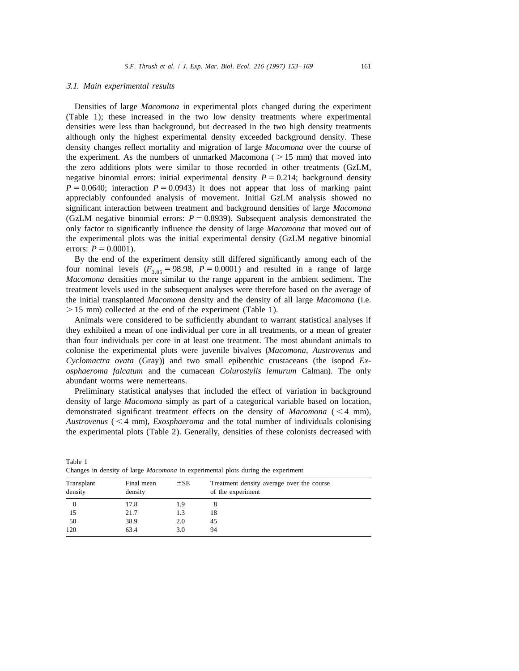#### 3.1. *Main experimental results*

Densities of large *Macomona* in experimental plots changed during the experiment (Table 1); these increased in the two low density treatments where experimental densities were less than background, but decreased in the two high density treatments although only the highest experimental density exceeded background density. These density changes reflect mortality and migration of large *Macomona* over the course of the experiment. As the numbers of unmarked Macomona ( $> 15$  mm) that moved into the zero additions plots were similar to those recorded in other treatments (GzLM, negative binomial errors: initial experimental density  $P = 0.214$ ; background density  $P = 0.0640$ ; interaction  $P = 0.0943$ ) it does not appear that loss of marking paint appreciably confounded analysis of movement. Initial GzLM analysis showed no significant interaction between treatment and background densities of large *Macomona* (GzLM negative binomial errors:  $P = 0.8939$ ). Subsequent analysis demonstrated the only factor to significantly influence the density of large *Macomona* that moved out of the experimental plots was the initial experimental density (GzLM negative binomial errors:  $P = 0.0001$ .

By the end of the experiment density still differed significantly among each of the four nominal levels  $(F_{3.85} = 98.98, P = 0.0001)$  and resulted in a range of large *Macomona* densities more similar to the range apparent in the ambient sediment. The treatment levels used in the subsequent analyses were therefore based on the average of the initial transplanted *Macomona* density and the density of all large *Macomona* (i.e.  $> 15$  mm) collected at the end of the experiment (Table 1).

Animals were considered to be sufficiently abundant to warrant statistical analyses if they exhibited a mean of one individual per core in all treatments, or a mean of greater than four individuals per core in at least one treatment. The most abundant animals to colonise the experimental plots were juvenile bivalves (*Macomona*, *Austrovenus* and *Cyclomactra ovata* (Gray)) and two small epibenthic crustaceans (the isopod *Exosphaeroma falcatum* and the cumacean *Colurostylis lemurum* Calman). The only abundant worms were nemerteans.

Preliminary statistical analyses that included the effect of variation in background density of large *Macomona* simply as part of a categorical variable based on location, demonstrated significant treatment effects on the density of  $Macomona$  ( $\leq 4$  mm), *Austrovenus* ( $\leq 4$  mm), *Exosphaeroma* and the total number of individuals colonising the experimental plots (Table 2). Generally, densities of these colonists decreased with

| enances in action, or targe macomona in experimental proto auring the experiment |                       |          |                                                                |  |  |  |  |  |
|----------------------------------------------------------------------------------|-----------------------|----------|----------------------------------------------------------------|--|--|--|--|--|
| Transplant<br>density                                                            | Final mean<br>density | $\pm$ SE | Treatment density average over the course<br>of the experiment |  |  |  |  |  |
|                                                                                  | 17.8                  | 1.9      |                                                                |  |  |  |  |  |
| 15                                                                               | 21.7                  | 1.3      | 18                                                             |  |  |  |  |  |
| -50                                                                              | 38.9                  | 2.0      | 45                                                             |  |  |  |  |  |
| 120                                                                              | 63.4                  | 3.0      | 94                                                             |  |  |  |  |  |

Changes in density of large *Macomona* in experimental plots during the experiment

Table 1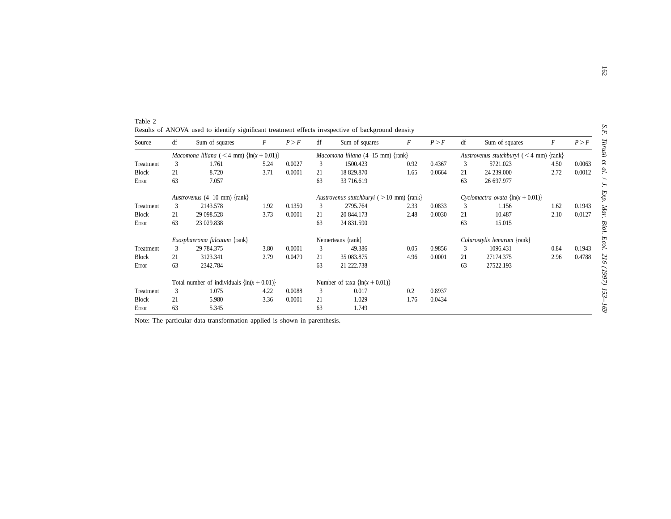| Source       | df | Sum of squares                                   | F    | P > F  | df | Sum of squares                                | F    | P > F  | df | Sum of squares                            | F    | P > F  |
|--------------|----|--------------------------------------------------|------|--------|----|-----------------------------------------------|------|--------|----|-------------------------------------------|------|--------|
|              |    | Macomona liliana (<4 mm) $\{ln(x + 0.01)\}$      |      |        |    | <i>Macomona liliana</i> $(4-15$ mm $)$ {rank} |      |        |    | Austrovenus stutchburyi $(< 4$ mm) {rank} |      |        |
| Treatment    | 3  | 1.761                                            | 5.24 | 0.0027 | 3  | 1500.423                                      | 0.92 | 0.4367 | 3  | 5721.023                                  | 4.50 | 0.0063 |
| <b>Block</b> | 21 | 8.720                                            | 3.71 | 0.0001 | 21 | 18 829.870                                    | 1.65 | 0.0664 | 21 | 24 239,000                                | 2.72 | 0.0012 |
| Error        | 63 | 7.057                                            |      |        | 63 | 33 716.619                                    |      |        | 63 | 26 697.977                                |      |        |
|              |    | Austrovenus $(4-10$ mm) {rank}                   |      |        |    | Austrovenus stutchburyi ( $> 10$ mm) {rank}   |      |        |    | Cyclomactra ovata $\{ln(x + 0.01)\}$      |      |        |
| Treatment    | 3  | 2143.578                                         | 1.92 | 0.1350 | 3  | 2795.764                                      | 2.33 | 0.0833 | 3  | 1.156                                     | 1.62 | 0.1943 |
| <b>Block</b> | 21 | 29 098.528                                       | 3.73 | 0.0001 | 21 | 20 844.173                                    | 2.48 | 0.0030 | 21 | 10.487                                    | 2.10 | 0.0127 |
| Error        | 63 | 23 029.838                                       |      |        | 63 | 24 831.590                                    |      |        | 63 | 15.015                                    |      |        |
|              |    | <i>Exosphaeroma falcatum</i> $\{rank\}$          |      |        |    | Nemerteans {rank}                             |      |        |    | Colurostylis lemurum {rank}               |      |        |
| Treatment    | 3  | 29 784.375                                       | 3.80 | 0.0001 | 3  | 49.386                                        | 0.05 | 0.9856 | 3  | 1096.431                                  | 0.84 | 0.1943 |
| <b>Block</b> | 21 | 3123.341                                         | 2.79 | 0.0479 | 21 | 35 083.875                                    | 4.96 | 0.0001 | 21 | 27174.375                                 | 2.96 | 0.4788 |
| Error        | 63 | 2342.784                                         |      |        | 63 | 21 222.738                                    |      |        | 63 | 27522.193                                 |      |        |
|              |    | Total number of individuals $\{\ln(x + 0.01)\}\$ |      |        |    | Number of taxa $\{ln(x + 0.01)\}$             |      |        |    |                                           |      |        |
| Treatment    | 3  | 1.075                                            | 4.22 | 0.0088 | 3  | 0.017                                         | 0.2  | 0.8937 |    |                                           |      |        |
| <b>Block</b> | 21 | 5.980                                            | 3.36 | 0.0001 | 21 | 1.029                                         | 1.76 | 0.0434 |    |                                           |      |        |
| Error        | 63 | 5.345                                            |      |        | 63 | 1.749                                         |      |        |    |                                           |      |        |

| Table 2                                                                                            |  |  |  |  |
|----------------------------------------------------------------------------------------------------|--|--|--|--|
| Results of ANOVA used to identify significant treatment effects irrespective of background density |  |  |  |  |

Note: The particular data transformation applied is shown in parenthesis.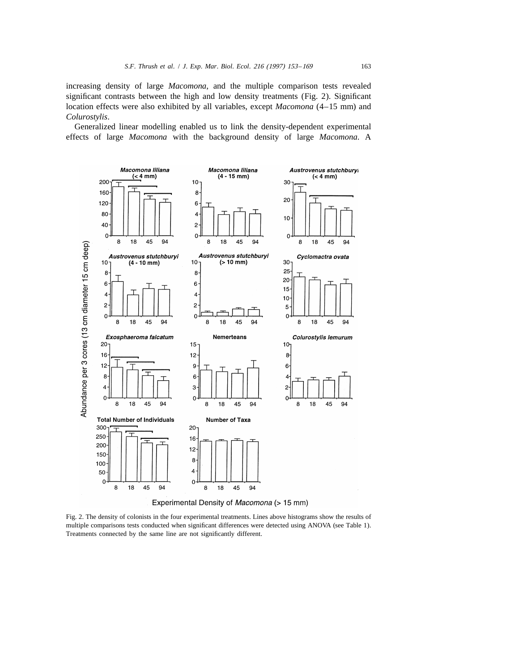increasing density of large *Macomona*, and the multiple comparison tests revealed significant contrasts between the high and low density treatments (Fig. 2). Significant location effects were also exhibited by all variables, except *Macomona* (4–15 mm) and *Colurostylis*.

Generalized linear modelling enabled us to link the density-dependent experimental effects of large *Macomona* with the background density of large *Macomona*. A



Experimental Density of Macomona (> 15 mm)

Fig. 2. The density of colonists in the four experimental treatments. Lines above histograms show the results of multiple comparisons tests conducted when significant differences were detected using ANOVA (see Table 1). Treatments connected by the same line are not significantly different.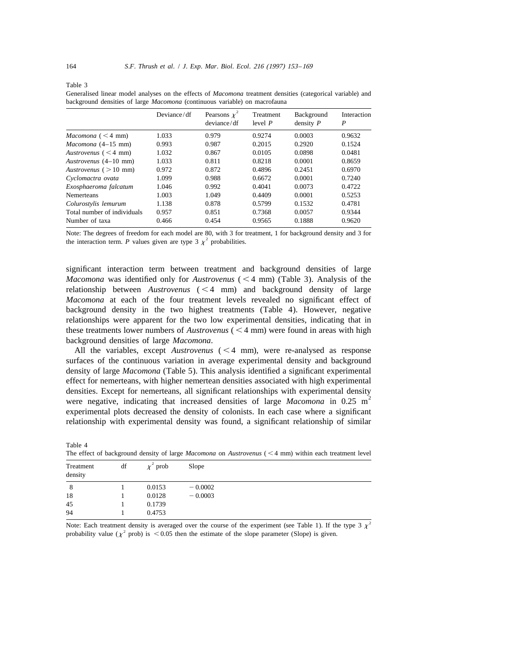Table 3

Generalised linear model analyses on the effects of *Macomona* treatment densities (categorical variable) and background densities of large *Macomona* (continuous variable) on macrofauna

|                             | Deviance/df | Pearsons $\chi^2$<br>deviance/df | Treatment<br>level P | Background<br>density $P$ | Interaction<br>$\boldsymbol{P}$ |
|-----------------------------|-------------|----------------------------------|----------------------|---------------------------|---------------------------------|
| Macomona $(< 4$ mm)         | 1.033       | 0.979                            | 0.9274               | 0.0003                    | 0.9632                          |
| $Macomona$ (4-15 mm)        | 0.993       | 0.987                            | 0.2015               | 0.2920                    | 0.1524                          |
| Austrovenus $(< 4$ mm)      | 1.032       | 0.867                            | 0.0105               | 0.0898                    | 0.0481                          |
| Austrovenus (4–10 mm)       | 1.033       | 0.811                            | 0.8218               | 0.0001                    | 0.8659                          |
| Austrovenus $(>10$ mm)      | 0.972       | 0.872                            | 0.4896               | 0.2451                    | 0.6970                          |
| Cyclomactra ovata           | 1.099       | 0.988                            | 0.6672               | 0.0001                    | 0.7240                          |
| Exosphaeroma falcatum       | 1.046       | 0.992                            | 0.4041               | 0.0073                    | 0.4722                          |
| <b>Nemerteans</b>           | 1.003       | 1.049                            | 0.4409               | 0.0001                    | 0.5253                          |
| Colurostylis lemurum        | 1.138       | 0.878                            | 0.5799               | 0.1532                    | 0.4781                          |
| Total number of individuals | 0.957       | 0.851                            | 0.7368               | 0.0057                    | 0.9344                          |
| Number of taxa              | 0.466       | 0.454                            | 0.9565               | 0.1888                    | 0.9620                          |

Note: The degrees of freedom for each model are 80, with 3 for treatment, 1 for background density and 3 for the interaction term. *P* values given are type 3  $\chi^2$  probabilities.

significant interaction term between treatment and background densities of large *Macomona* was identified only for *Austrovenus*  $(< 4$  mm) (Table 3). Analysis of the relationship between  $A$ *ustrovenus*  $(< 4$  mm) and background density of large *Macomona* at each of the four treatment levels revealed no significant effect of background density in the two highest treatments (Table 4). However, negative relationships were apparent for the two low experimental densities, indicating that in these treatments lower numbers of  $A$ *ustrovenus* ( $\leq 4$  mm) were found in areas with high background densities of large *Macomona*.

All the variables, except  $A$ ustrovenus  $(< 4$  mm), were re-analysed as response surfaces of the continuous variation in average experimental density and background density of large *Macomona* (Table 5). This analysis identified a significant experimental effect for nemerteans, with higher nemertean densities associated with high experimental densities. Except for nemerteans, all significant relationships with experimental density<br>were negative, indicating that increased densities of large *Macomona* in 0.25 m<sup>2</sup> experimental plots decreased the density of colonists. In each case where a significant relationship with experimental density was found, a significant relationship of similar

| Table 4                                                                                                                    |  |  |  |  |
|----------------------------------------------------------------------------------------------------------------------------|--|--|--|--|
| The effect of background density of large <i>Macomona</i> on <i>Austrovenus</i> ( $\leq 4$ mm) within each treatment level |  |  |  |  |

| Treatment<br>density | df | $\chi^2$ prob | Slope     |  |
|----------------------|----|---------------|-----------|--|
| 8                    |    | 0.0153        | $-0.0002$ |  |
| 18                   |    | 0.0128        | $-0.0003$ |  |
| 45                   |    | 0.1739        |           |  |
| 94                   |    | 0.4753        |           |  |

Note: Each treatment density is averaged over the course of the experiment (see Table 1). If the type 3  $x^2$ probability value ( $\chi^2$  prob) is < 0.05 then the estimate of the slope parameter (Slope) is given.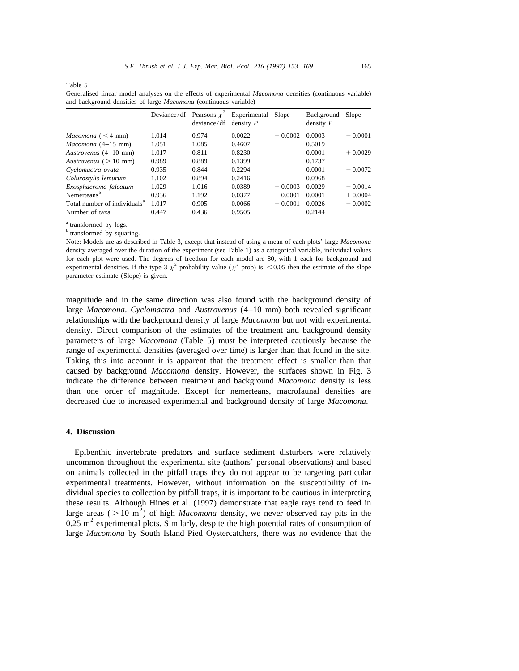Table 5

Generalised linear model analyses on the effects of experimental *Macomona* densities (continuous variable) and background densities of large *Macomona* (continuous variable)

|                                          |       | Deviance/df Pearsons $\chi^2$<br>deviance / df | Experimental<br>density $P$ | Slope     | Background<br>density $P$ | Slope     |
|------------------------------------------|-------|------------------------------------------------|-----------------------------|-----------|---------------------------|-----------|
| Macomona $(< 4$ mm)                      | 1.014 | 0.974                                          | 0.0022                      | $-0.0002$ | 0.0003                    | $-0.0001$ |
| $Macomona (4-15 mm)$                     | 1.051 | 1.085                                          | 0.4607                      |           | 0.5019                    |           |
| Austrovenus (4–10 mm)                    | 1.017 | 0.811                                          | 0.8230                      |           | 0.0001                    | $+0.0029$ |
| Austrovenus $(>10$ mm)                   | 0.989 | 0.889                                          | 0.1399                      |           | 0.1737                    |           |
| Cyclomactra ovata                        | 0.935 | 0.844                                          | 0.2294                      |           | 0.0001                    | $-0.0072$ |
| Colurostylis lemurum                     | 1.102 | 0.894                                          | 0.2416                      |           | 0.0968                    |           |
| Exosphaeroma falcatum                    | 1.029 | 1.016                                          | 0.0389                      | $-0.0003$ | 0.0029                    | $-0.0014$ |
| Nemerteans <sup>b</sup>                  | 0.936 | 1.192                                          | 0.0377                      | $+0.0001$ | 0.0001                    | $+0.0004$ |
| Total number of individuals <sup>a</sup> | 1.017 | 0.905                                          | 0.0066                      | $-0.0001$ | 0.0026                    | $-0.0002$ |
| Number of taxa                           | 0.447 | 0.436                                          | 0.9505                      |           | 0.2144                    |           |

<sup>a</sup> transformed by logs.

**b** transformed by squaring.

Note: Models are as described in Table 3, except that instead of using a mean of each plots' large *Macomona* density averaged over the duration of the experiment (see Table 1) as a categorical variable, individual values for each plot were used. The degrees of freedom for each model are 80, with 1 each for background and experimental densities. If the type 3  $\chi^2$  probability value ( $\chi^2$  prob) is < 0.05 then the estimate of the slope parameter estimate (Slope) is given.

magnitude and in the same direction was also found with the background density of large *Macomona*. *Cyclomactra* and *Austrovenus* (4–10 mm) both revealed significant relationships with the background density of large *Macomona* but not with experimental density. Direct comparison of the estimates of the treatment and background density parameters of large *Macomona* (Table 5) must be interpreted cautiously because the range of experimental densities (averaged over time) is larger than that found in the site. Taking this into account it is apparent that the treatment effect is smaller than that caused by background *Macomona* density. However, the surfaces shown in Fig. 3 indicate the difference between treatment and background *Macomona* density is less than one order of magnitude. Except for nemerteans, macrofaunal densities are decreased due to increased experimental and background density of large *Macomona*.

# **4. Discussion**

Epibenthic invertebrate predators and surface sediment disturbers were relatively uncommon throughout the experimental site (authors' personal observations) and based on animals collected in the pitfall traps they do not appear to be targeting particular experimental treatments. However, without information on the susceptibility of individual species to collection by pitfall traps, it is important to be cautious in interpreting these results. Although Hines et al. (1997) demonstrate that eagle rays tend to feed in large areas ( $> 10 \text{ m}^2$ ) of high *Macomona* density, we never observed ray pits in the 0.25 m<sup>2</sup> experimental plots. Similarly, de large *Macomona* by South Island Pied Oystercatchers, there was no evidence that the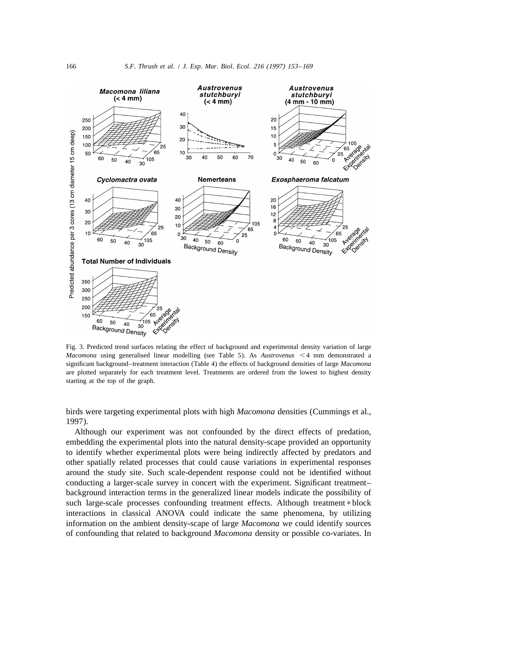

Fig. 3. Predicted trend surfaces relating the effect of background and experimental density variation of large *Macomona* using generalised linear modelling (see Table 5). As *Austrovenus* <4 mm demonstrated a significant background–treatment interaction (Table 4) the effects of background densities of large *Macomona* are plotted separately for each treatment level. Treatments are ordered from the lowest to highest density starting at the top of the graph.

birds were targeting experimental plots with high *Macomona* densities (Cummings et al., 1997).

Although our experiment was not confounded by the direct effects of predation, embedding the experimental plots into the natural density-scape provided an opportunity to identify whether experimental plots were being indirectly affected by predators and other spatially related processes that could cause variations in experimental responses around the study site. Such scale-dependent response could not be identified without conducting a larger-scale survey in concert with the experiment. Significant treatment– background interaction terms in the generalized linear models indicate the possibility of such large-scale processes confounding treatment effects. Although treatment \* block interactions in classical ANOVA could indicate the same phenomena, by utilizing information on the ambient density-scape of large *Macomona* we could identify sources of confounding that related to background *Macomona* density or possible co-variates. In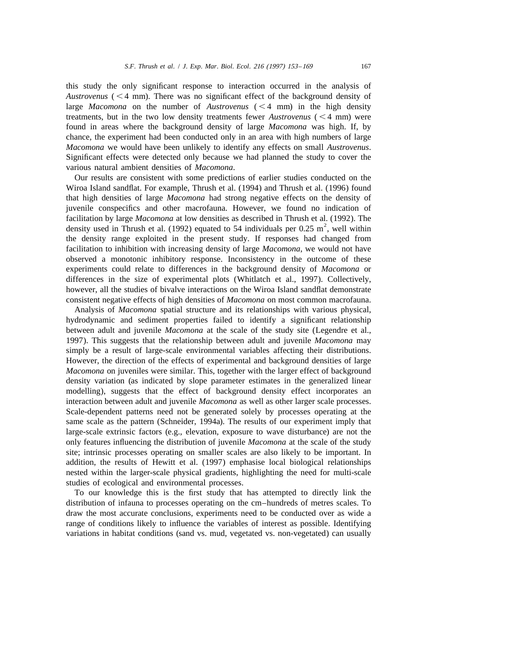this study the only significant response to interaction occurred in the analysis of *Austrovenus* ( $\leq 4$  mm). There was no significant effect of the background density of large *Macomona* on the number of *Austrovenus*  $(< 4$  mm) in the high density treatments, but in the two low density treatments fewer *Austrovenus* ( $\leq 4$  mm) were found in areas where the background density of large *Macomona* was high. If, by chance, the experiment had been conducted only in an area with high numbers of large *Macomona* we would have been unlikely to identify any effects on small *Austrovenus*. Significant effects were detected only because we had planned the study to cover the various natural ambient densities of *Macomona*.

Our results are consistent with some predictions of earlier studies conducted on the Wiroa Island sandflat. For example, Thrush et al. (1994) and Thrush et al. (1996) found that high densities of large *Macomona* had strong negative effects on the density of juvenile conspecifics and other macrofauna. However, we found no indication of facilitation by large *Macomona* at low densities as described in Thrush et al. (1992). The density used in Thrush et al. (1992) equated to 54 individuals per 0.25 m<sup>2</sup>, well within the density range exploited in the present study. If responses had changed from facilitation to inhibition with increasing density of large *Macomona*, we would not have observed a monotonic inhibitory response. Inconsistency in the outcome of these experiments could relate to differences in the background density of *Macomona* or differences in the size of experimental plots (Whitlatch et al., 1997). Collectively, however, all the studies of bivalve interactions on the Wiroa Island sandflat demonstrate consistent negative effects of high densities of *Macomona* on most common macrofauna.

Analysis of *Macomona* spatial structure and its relationships with various physical, hydrodynamic and sediment properties failed to identify a significant relationship between adult and juvenile *Macomona* at the scale of the study site (Legendre et al., 1997). This suggests that the relationship between adult and juvenile *Macomona* may simply be a result of large-scale environmental variables affecting their distributions. However, the direction of the effects of experimental and background densities of large *Macomona* on juveniles were similar. This, together with the larger effect of background density variation (as indicated by slope parameter estimates in the generalized linear modelling), suggests that the effect of background density effect incorporates an interaction between adult and juvenile *Macomona* as well as other larger scale processes. Scale-dependent patterns need not be generated solely by processes operating at the same scale as the pattern (Schneider, 1994a). The results of our experiment imply that large-scale extrinsic factors (e.g., elevation, exposure to wave disturbance) are not the only features influencing the distribution of juvenile *Macomona* at the scale of the study site; intrinsic processes operating on smaller scales are also likely to be important. In addition, the results of Hewitt et al. (1997) emphasise local biological relationships nested within the larger-scale physical gradients, highlighting the need for multi-scale studies of ecological and environmental processes.

To our knowledge this is the first study that has attempted to directly link the distribution of infauna to processes operating on the cm–hundreds of metres scales. To draw the most accurate conclusions, experiments need to be conducted over as wide a range of conditions likely to influence the variables of interest as possible. Identifying variations in habitat conditions (sand vs. mud, vegetated vs. non-vegetated) can usually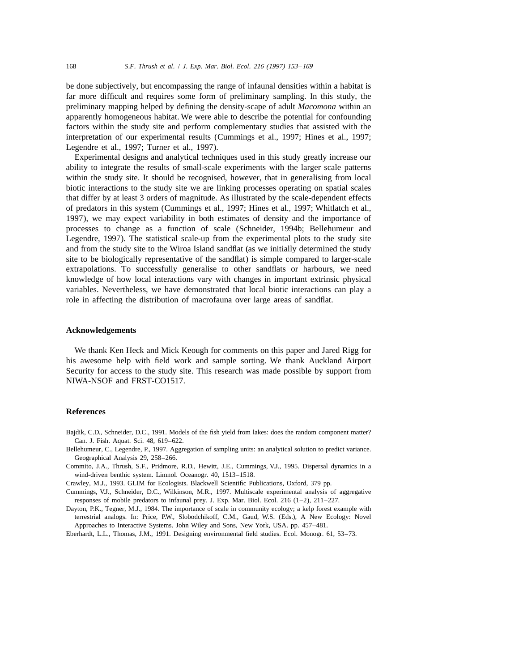be done subjectively, but encompassing the range of infaunal densities within a habitat is far more difficult and requires some form of preliminary sampling. In this study, the preliminary mapping helped by defining the density-scape of adult *Macomona* within an apparently homogeneous habitat. We were able to describe the potential for confounding factors within the study site and perform complementary studies that assisted with the interpretation of our experimental results (Cummings et al., 1997; Hines et al., 1997; Legendre et al., 1997; Turner et al., 1997).

Experimental designs and analytical techniques used in this study greatly increase our ability to integrate the results of small-scale experiments with the larger scale patterns within the study site. It should be recognised, however, that in generalising from local biotic interactions to the study site we are linking processes operating on spatial scales that differ by at least 3 orders of magnitude. As illustrated by the scale-dependent effects of predators in this system (Cummings et al., 1997; Hines et al., 1997; Whitlatch et al., 1997), we may expect variability in both estimates of density and the importance of processes to change as a function of scale (Schneider, 1994b; Bellehumeur and Legendre, 1997). The statistical scale-up from the experimental plots to the study site and from the study site to the Wiroa Island sandflat (as we initially determined the study site to be biologically representative of the sandflat) is simple compared to larger-scale extrapolations. To successfully generalise to other sandflats or harbours, we need knowledge of how local interactions vary with changes in important extrinsic physical variables. Nevertheless, we have demonstrated that local biotic interactions can play a role in affecting the distribution of macrofauna over large areas of sandflat.

# **Acknowledgements**

We thank Ken Heck and Mick Keough for comments on this paper and Jared Rigg for his awesome help with field work and sample sorting. We thank Auckland Airport Security for access to the study site. This research was made possible by support from NIWA-NSOF and FRST-CO1517.

#### **References**

- Bajdik, C.D., Schneider, D.C., 1991. Models of the fish yield from lakes: does the random component matter? Can. J. Fish. Aquat. Sci. 48, 619–622.
- Bellehumeur, C., Legendre, P., 1997. Aggregation of sampling units: an analytical solution to predict variance. Geographical Analysis 29, 258–266.
- Commito, J.A., Thrush, S.F., Pridmore, R.D., Hewitt, J.E., Cummings, V.J., 1995. Dispersal dynamics in a wind-driven benthic system. Limnol. Oceanogr. 40, 1513–1518.
- Crawley, M.J., 1993. GLIM for Ecologists. Blackwell Scientific Publications, Oxford, 379 pp.
- Cummings, V.J., Schneider, D.C., Wilkinson, M.R., 1997. Multiscale experimental analysis of aggregative responses of mobile predators to infaunal prey. J. Exp. Mar. Biol. Ecol. 216 (1–2), 211–227.
- Dayton, P.K., Tegner, M.J., 1984. The importance of scale in community ecology; a kelp forest example with terrestrial analogs. In: Price, P.W., Slobodchikoff, C.M., Gaud, W.S. (Eds.), A New Ecology: Novel Approaches to Interactive Systems. John Wiley and Sons, New York, USA. pp. 457–481.
- Eberhardt, L.L., Thomas, J.M., 1991. Designing environmental field studies. Ecol. Monogr. 61, 53–73.